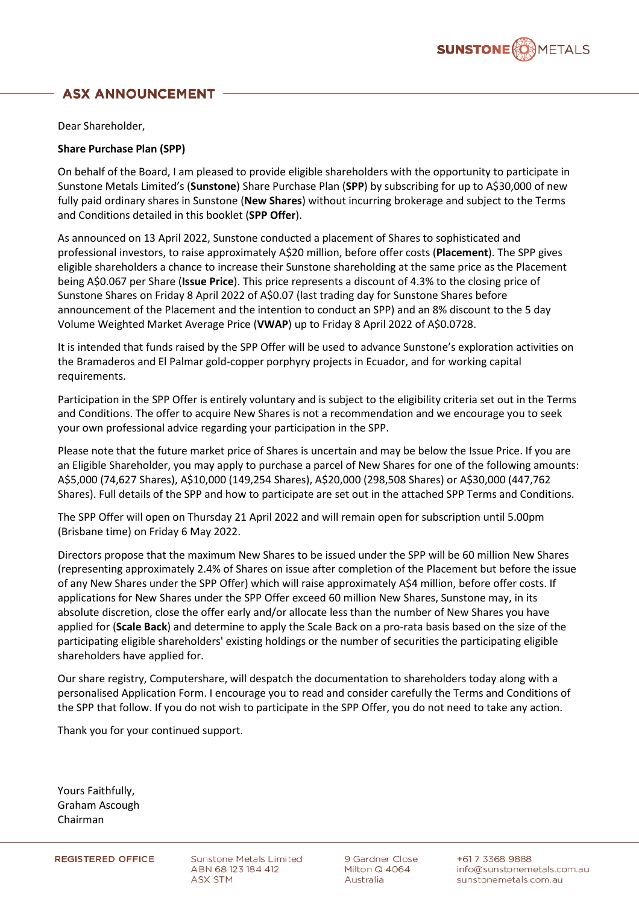

# **ASX ANNOUNCEMENT**

Dear Shareholder,

# **Share Purchase Plan (SPP)**

On behalf of the Board, I am pleased to provide eligible shareholders with the opportunity to participate in Sunstone Metals Limited's (**Sunstone**) Share Purchase Plan (**SPP**) by subscribing for up to A\$30,000 of new fully paid ordinary shares in Sunstone (**New Shares**) without incurring brokerage and subject to the Terms and Conditions detailed in this booklet (**SPP Offer**).

As announced on 13 April 2022, Sunstone conducted a placement of Shares to sophisticated and professional investors, to raise approximately A\$20 million, before offer costs (**Placement**). The SPP gives eligible shareholders a chance to increase their Sunstone shareholding at the same price as the Placement being A\$0.067 per Share (**Issue Price**). This price represents a discount of 4.3% to the closing price of Sunstone Shares on Friday 8 April 2022 of A\$0.07 (last trading day for Sunstone Shares before announcement of the Placement and the intention to conduct an SPP) and an 8% discount to the 5 day Volume Weighted Market Average Price (**VWAP**) up to Friday 8 April 2022 of A\$0.0728.

It is intended that funds raised by the SPP Offer will be used to advance Sunstone's exploration activities on the Bramaderos and El Palmar gold-copper porphyry projects in Ecuador, and for working capital requirements.

Participation in the SPP Offer is entirely voluntary and is subject to the eligibility criteria set out in the Terms and Conditions. The offer to acquire New Shares is not a recommendation and we encourage you to seek your own professional advice regarding your participation in the SPP.

Please note that the future market price of Shares is uncertain and may be below the Issue Price. If you are an Eligible Shareholder, you may apply to purchase a parcel of New Shares for one of the following amounts: A\$5,000 (74,627 Shares), A\$10,000 (149,254 Shares), A\$20,000 (298,508 Shares) or A\$30,000 (447,762 Shares). Full details of the SPP and how to participate are set out in the attached SPP Terms and Conditions.

The SPP Offer will open on Thursday 21 April 2022 and will remain open for subscription until 5.00pm (Brisbane time) on Friday 6 May 2022.

Directors propose that the maximum New Shares to be issued under the SPP will be 60 million New Shares (representing approximately 2.4% of Shares on issue after completion of the Placement but before the issue of any New Shares under the SPP Offer) which will raise approximately A\$4 million, before offer costs. If applications for New Shares under the SPP Offer exceed 60 million New Shares, Sunstone may, in its absolute discretion, close the offer early and/or allocate less than the number of New Shares you have applied for (**Scale Back**) and determine to apply the Scale Back on a pro-rata basis based on the size of the participating eligible shareholders' existing holdings or the number of securities the participating eligible shareholders have applied for.

Our share registry, Computershare, will despatch the documentation to shareholders today along with a personalised Application Form. I encourage you to read and consider carefully the Terms and Conditions of the SPP that follow. If you do not wish to participate in the SPP Offer, you do not need to take any action.

Thank you for your continued support.

Yours Faithfully, Graham Ascough Chairman

**Sunstone Metals Limited** ABN 68 123 184 412 ASX STM

9 Gardner Close Milton Q 4064 Australia

+617 3368 9888 info@sunstonemetals.com.au sunstonemetals.com.au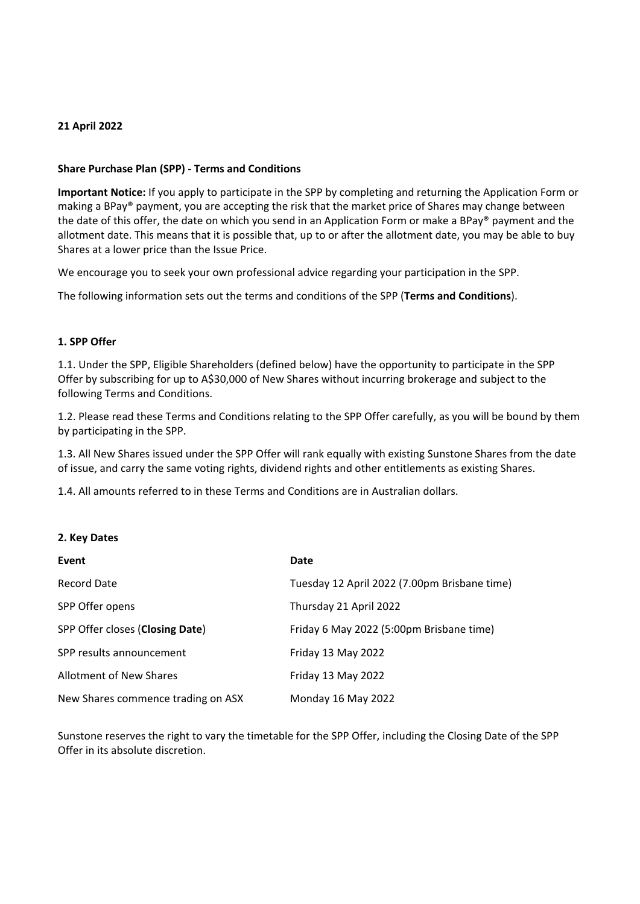### **21 April 2022**

# **Share Purchase Plan (SPP) - Terms and Conditions**

**Important Notice:** If you apply to participate in the SPP by completing and returning the Application Form or making a BPay® payment, you are accepting the risk that the market price of Shares may change between the date of this offer, the date on which you send in an Application Form or make a BPay® payment and the allotment date. This means that it is possible that, up to or after the allotment date, you may be able to buy Shares at a lower price than the Issue Price.

We encourage you to seek your own professional advice regarding your participation in the SPP.

The following information sets out the terms and conditions of the SPP (**Terms and Conditions**).

### **1. SPP Offer**

1.1. Under the SPP, Eligible Shareholders (defined below) have the opportunity to participate in the SPP Offer by subscribing for up to A\$30,000 of New Shares without incurring brokerage and subject to the following Terms and Conditions.

1.2. Please read these Terms and Conditions relating to the SPP Offer carefully, as you will be bound by them by participating in the SPP.

1.3. All New Shares issued under the SPP Offer will rank equally with existing Sunstone Shares from the date of issue, and carry the same voting rights, dividend rights and other entitlements as existing Shares.

1.4. All amounts referred to in these Terms and Conditions are in Australian dollars.

# **2. Key Dates**

| Event                              | Date                                         |
|------------------------------------|----------------------------------------------|
| <b>Record Date</b>                 | Tuesday 12 April 2022 (7.00pm Brisbane time) |
| SPP Offer opens                    | Thursday 21 April 2022                       |
| SPP Offer closes (Closing Date)    | Friday 6 May 2022 (5:00pm Brisbane time)     |
| SPP results announcement           | Friday 13 May 2022                           |
| <b>Allotment of New Shares</b>     | Friday 13 May 2022                           |
| New Shares commence trading on ASX | Monday 16 May 2022                           |

Sunstone reserves the right to vary the timetable for the SPP Offer, including the Closing Date of the SPP Offer in its absolute discretion.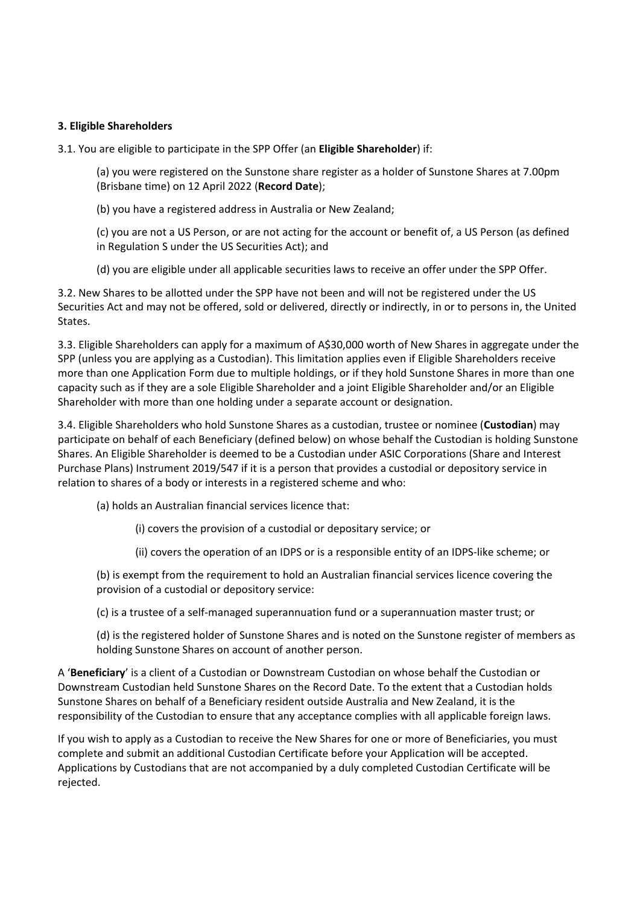# **3. Eligible Shareholders**

3.1. You are eligible to participate in the SPP Offer (an **Eligible Shareholder**) if:

(a) you were registered on the Sunstone share register as a holder of Sunstone Shares at 7.00pm (Brisbane time) on 12 April 2022 (**Record Date**);

(b) you have a registered address in Australia or New Zealand;

(c) you are not a US Person, or are not acting for the account or benefit of, a US Person (as defined in Regulation S under the US Securities Act); and

(d) you are eligible under all applicable securities laws to receive an offer under the SPP Offer.

3.2. New Shares to be allotted under the SPP have not been and will not be registered under the US Securities Act and may not be offered, sold or delivered, directly or indirectly, in or to persons in, the United States.

3.3. Eligible Shareholders can apply for a maximum of A\$30,000 worth of New Shares in aggregate under the SPP (unless you are applying as a Custodian). This limitation applies even if Eligible Shareholders receive more than one Application Form due to multiple holdings, or if they hold Sunstone Shares in more than one capacity such as if they are a sole Eligible Shareholder and a joint Eligible Shareholder and/or an Eligible Shareholder with more than one holding under a separate account or designation.

3.4. Eligible Shareholders who hold Sunstone Shares as a custodian, trustee or nominee (**Custodian**) may participate on behalf of each Beneficiary (defined below) on whose behalf the Custodian is holding Sunstone Shares. An Eligible Shareholder is deemed to be a Custodian under ASIC Corporations (Share and Interest Purchase Plans) Instrument 2019/547 if it is a person that provides a custodial or depository service in relation to shares of a body or interests in a registered scheme and who:

(a) holds an Australian financial services licence that:

(i) covers the provision of a custodial or depositary service; or

(ii) covers the operation of an IDPS or is a responsible entity of an IDPS-like scheme; or

(b) is exempt from the requirement to hold an Australian financial services licence covering the provision of a custodial or depository service:

(c) is a trustee of a self-managed superannuation fund or a superannuation master trust; or

(d) is the registered holder of Sunstone Shares and is noted on the Sunstone register of members as holding Sunstone Shares on account of another person.

A '**Beneficiary**' is a client of a Custodian or Downstream Custodian on whose behalf the Custodian or Downstream Custodian held Sunstone Shares on the Record Date. To the extent that a Custodian holds Sunstone Shares on behalf of a Beneficiary resident outside Australia and New Zealand, it is the responsibility of the Custodian to ensure that any acceptance complies with all applicable foreign laws.

If you wish to apply as a Custodian to receive the New Shares for one or more of Beneficiaries, you must complete and submit an additional Custodian Certificate before your Application will be accepted. Applications by Custodians that are not accompanied by a duly completed Custodian Certificate will be rejected.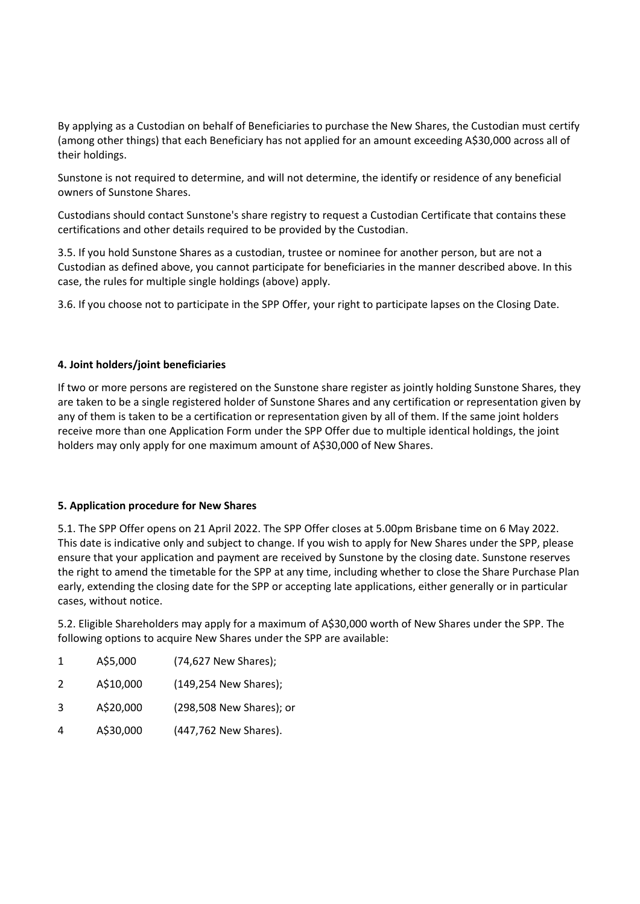By applying as a Custodian on behalf of Beneficiaries to purchase the New Shares, the Custodian must certify (among other things) that each Beneficiary has not applied for an amount exceeding A\$30,000 across all of their holdings.

Sunstone is not required to determine, and will not determine, the identify or residence of any beneficial owners of Sunstone Shares.

Custodians should contact Sunstone's share registry to request a Custodian Certificate that contains these certifications and other details required to be provided by the Custodian.

3.5. If you hold Sunstone Shares as a custodian, trustee or nominee for another person, but are not a Custodian as defined above, you cannot participate for beneficiaries in the manner described above. In this case, the rules for multiple single holdings (above) apply.

3.6. If you choose not to participate in the SPP Offer, your right to participate lapses on the Closing Date.

# **4. Joint holders/joint beneficiaries**

If two or more persons are registered on the Sunstone share register as jointly holding Sunstone Shares, they are taken to be a single registered holder of Sunstone Shares and any certification or representation given by any of them is taken to be a certification or representation given by all of them. If the same joint holders receive more than one Application Form under the SPP Offer due to multiple identical holdings, the joint holders may only apply for one maximum amount of A\$30,000 of New Shares.

# **5. Application procedure for New Shares**

5.1. The SPP Offer opens on 21 April 2022. The SPP Offer closes at 5.00pm Brisbane time on 6 May 2022. This date is indicative only and subject to change. If you wish to apply for New Shares under the SPP, please ensure that your application and payment are received by Sunstone by the closing date. Sunstone reserves the right to amend the timetable for the SPP at any time, including whether to close the Share Purchase Plan early, extending the closing date for the SPP or accepting late applications, either generally or in particular cases, without notice.

5.2. Eligible Shareholders may apply for a maximum of A\$30,000 worth of New Shares under the SPP. The following options to acquire New Shares under the SPP are available:

| 1 | A\$5,000  | (74,627 New Shares);     |
|---|-----------|--------------------------|
| 2 | A\$10,000 | (149,254 New Shares);    |
| 3 | A\$20,000 | (298,508 New Shares); or |
| 4 | A\$30,000 | (447,762 New Shares).    |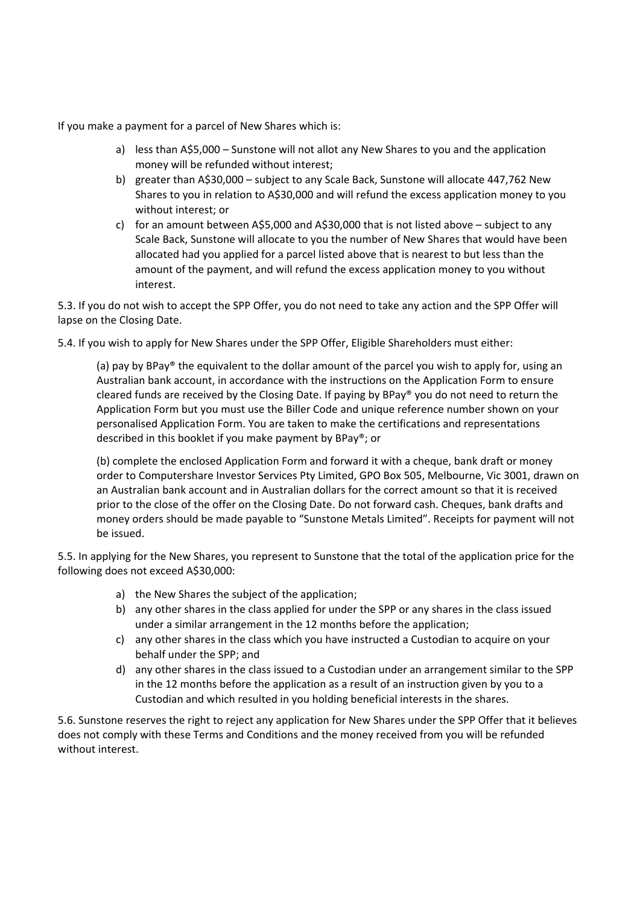If you make a payment for a parcel of New Shares which is:

- a) less than A\$5,000 Sunstone will not allot any New Shares to you and the application money will be refunded without interest;
- b) greater than A\$30,000 subject to any Scale Back, Sunstone will allocate 447,762 New Shares to you in relation to A\$30,000 and will refund the excess application money to you without interest; or
- c) for an amount between A\$5,000 and A\$30,000 that is not listed above subject to any Scale Back, Sunstone will allocate to you the number of New Shares that would have been allocated had you applied for a parcel listed above that is nearest to but less than the amount of the payment, and will refund the excess application money to you without interest.

5.3. If you do not wish to accept the SPP Offer, you do not need to take any action and the SPP Offer will lapse on the Closing Date.

5.4. If you wish to apply for New Shares under the SPP Offer, Eligible Shareholders must either:

(a) pay by BPay® the equivalent to the dollar amount of the parcel you wish to apply for, using an Australian bank account, in accordance with the instructions on the Application Form to ensure cleared funds are received by the Closing Date. If paying by BPay® you do not need to return the Application Form but you must use the Biller Code and unique reference number shown on your personalised Application Form. You are taken to make the certifications and representations described in this booklet if you make payment by BPay®; or

(b) complete the enclosed Application Form and forward it with a cheque, bank draft or money order to Computershare Investor Services Pty Limited, GPO Box 505, Melbourne, Vic 3001, drawn on an Australian bank account and in Australian dollars for the correct amount so that it is received prior to the close of the offer on the Closing Date. Do not forward cash. Cheques, bank drafts and money orders should be made payable to "Sunstone Metals Limited". Receipts for payment will not be issued.

5.5. In applying for the New Shares, you represent to Sunstone that the total of the application price for the following does not exceed A\$30,000:

- a) the New Shares the subject of the application;
- b) any other shares in the class applied for under the SPP or any shares in the class issued under a similar arrangement in the 12 months before the application;
- c) any other shares in the class which you have instructed a Custodian to acquire on your behalf under the SPP; and
- d) any other shares in the class issued to a Custodian under an arrangement similar to the SPP in the 12 months before the application as a result of an instruction given by you to a Custodian and which resulted in you holding beneficial interests in the shares.

5.6. Sunstone reserves the right to reject any application for New Shares under the SPP Offer that it believes does not comply with these Terms and Conditions and the money received from you will be refunded without interest.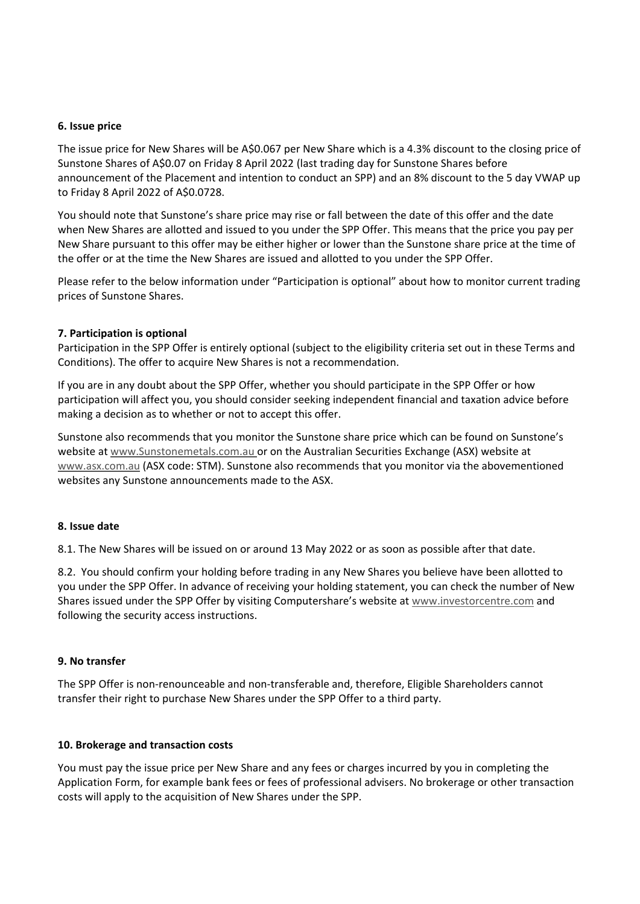#### **6. Issue price**

The issue price for New Shares will be A\$0.067 per New Share which is a 4.3% discount to the closing price of Sunstone Shares of A\$0.07 on Friday 8 April 2022 (last trading day for Sunstone Shares before announcement of the Placement and intention to conduct an SPP) and an 8% discount to the 5 day VWAP up to Friday 8 April 2022 of A\$0.0728.

You should note that Sunstone's share price may rise or fall between the date of this offer and the date when New Shares are allotted and issued to you under the SPP Offer. This means that the price you pay per New Share pursuant to this offer may be either higher or lower than the Sunstone share price at the time of the offer or at the time the New Shares are issued and allotted to you under the SPP Offer.

Please refer to the below information under "Participation is optional" about how to monitor current trading prices of Sunstone Shares.

### **7. Participation is optional**

Participation in the SPP Offer is entirely optional (subject to the eligibility criteria set out in these Terms and Conditions). The offer to acquire New Shares is not a recommendation.

If you are in any doubt about the SPP Offer, whether you should participate in the SPP Offer or how participation will affect you, you should consider seeking independent financial and taxation advice before making a decision as to whether or not to accept this offer.

Sunstone also recommends that you monitor the Sunstone share price which can be found on Sunstone's website at www.Sunstonemetals.com.au or on the Australian Securities Exchange (ASX) website at www.asx.com.au (ASX code: STM). Sunstone also recommends that you monitor via the abovementioned websites any Sunstone announcements made to the ASX.

# **8. Issue date**

8.1. The New Shares will be issued on or around 13 May 2022 or as soon as possible after that date.

8.2. You should confirm your holding before trading in any New Shares you believe have been allotted to you under the SPP Offer. In advance of receiving your holding statement, you can check the number of New Shares issued under the SPP Offer by visiting Computershare's website at www.investorcentre.com and following the security access instructions.

# **9. No transfer**

The SPP Offer is non-renounceable and non-transferable and, therefore, Eligible Shareholders cannot transfer their right to purchase New Shares under the SPP Offer to a third party.

#### **10. Brokerage and transaction costs**

You must pay the issue price per New Share and any fees or charges incurred by you in completing the Application Form, for example bank fees or fees of professional advisers. No brokerage or other transaction costs will apply to the acquisition of New Shares under the SPP.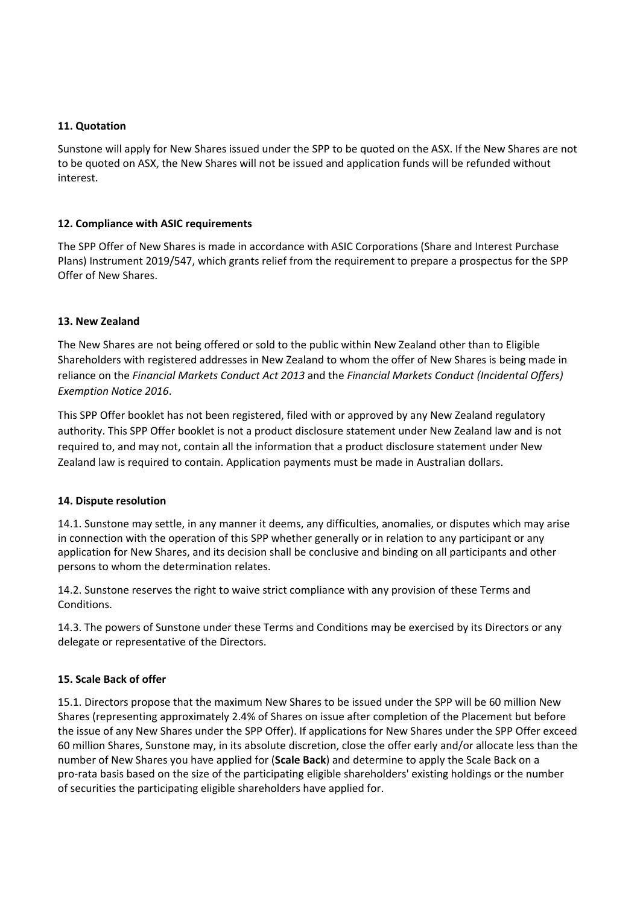# **11. Quotation**

Sunstone will apply for New Shares issued under the SPP to be quoted on the ASX. If the New Shares are not to be quoted on ASX, the New Shares will not be issued and application funds will be refunded without interest.

# **12. Compliance with ASIC requirements**

The SPP Offer of New Shares is made in accordance with ASIC Corporations (Share and Interest Purchase Plans) Instrument 2019/547, which grants relief from the requirement to prepare a prospectus for the SPP Offer of New Shares.

# **13. New Zealand**

The New Shares are not being offered or sold to the public within New Zealand other than to Eligible Shareholders with registered addresses in New Zealand to whom the offer of New Shares is being made in reliance on the *Financial Markets Conduct Act 2013* and the *Financial Markets Conduct (Incidental Offers) Exemption Notice 2016*.

This SPP Offer booklet has not been registered, filed with or approved by any New Zealand regulatory authority. This SPP Offer booklet is not a product disclosure statement under New Zealand law and is not required to, and may not, contain all the information that a product disclosure statement under New Zealand law is required to contain. Application payments must be made in Australian dollars.

# **14. Dispute resolution**

14.1. Sunstone may settle, in any manner it deems, any difficulties, anomalies, or disputes which may arise in connection with the operation of this SPP whether generally or in relation to any participant or any application for New Shares, and its decision shall be conclusive and binding on all participants and other persons to whom the determination relates.

14.2. Sunstone reserves the right to waive strict compliance with any provision of these Terms and Conditions.

14.3. The powers of Sunstone under these Terms and Conditions may be exercised by its Directors or any delegate or representative of the Directors.

# **15. Scale Back of offer**

15.1. Directors propose that the maximum New Shares to be issued under the SPP will be 60 million New Shares (representing approximately 2.4% of Shares on issue after completion of the Placement but before the issue of any New Shares under the SPP Offer). If applications for New Shares under the SPP Offer exceed 60 million Shares, Sunstone may, in its absolute discretion, close the offer early and/or allocate less than the number of New Shares you have applied for (**Scale Back**) and determine to apply the Scale Back on a pro-rata basis based on the size of the participating eligible shareholders' existing holdings or the number of securities the participating eligible shareholders have applied for.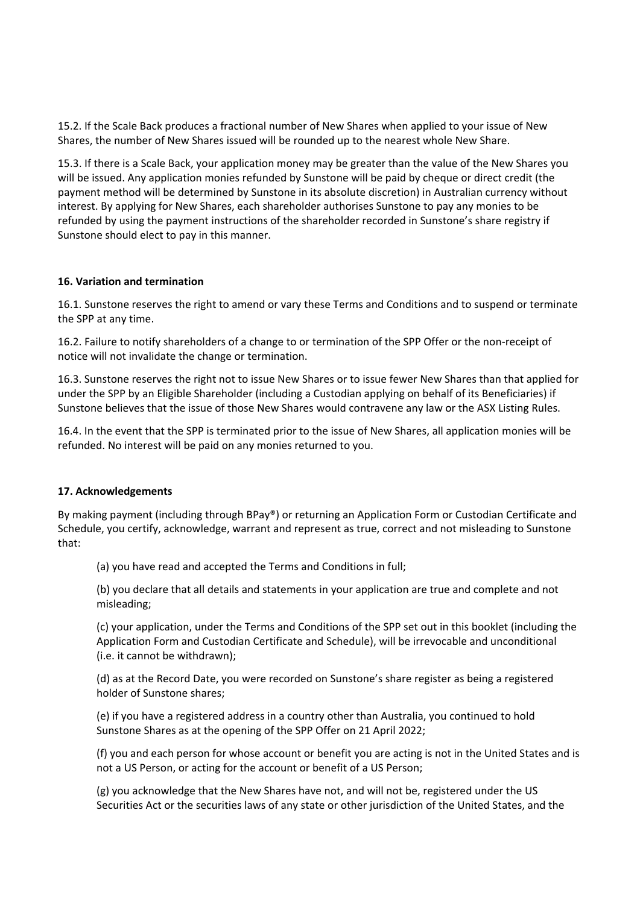15.2. If the Scale Back produces a fractional number of New Shares when applied to your issue of New Shares, the number of New Shares issued will be rounded up to the nearest whole New Share.

15.3. If there is a Scale Back, your application money may be greater than the value of the New Shares you will be issued. Any application monies refunded by Sunstone will be paid by cheque or direct credit (the payment method will be determined by Sunstone in its absolute discretion) in Australian currency without interest. By applying for New Shares, each shareholder authorises Sunstone to pay any monies to be refunded by using the payment instructions of the shareholder recorded in Sunstone's share registry if Sunstone should elect to pay in this manner.

# **16. Variation and termination**

16.1. Sunstone reserves the right to amend or vary these Terms and Conditions and to suspend or terminate the SPP at any time.

16.2. Failure to notify shareholders of a change to or termination of the SPP Offer or the non-receipt of notice will not invalidate the change or termination.

16.3. Sunstone reserves the right not to issue New Shares or to issue fewer New Shares than that applied for under the SPP by an Eligible Shareholder (including a Custodian applying on behalf of its Beneficiaries) if Sunstone believes that the issue of those New Shares would contravene any law or the ASX Listing Rules.

16.4. In the event that the SPP is terminated prior to the issue of New Shares, all application monies will be refunded. No interest will be paid on any monies returned to you.

# **17. Acknowledgements**

By making payment (including through BPay®) or returning an Application Form or Custodian Certificate and Schedule, you certify, acknowledge, warrant and represent as true, correct and not misleading to Sunstone that:

(a) you have read and accepted the Terms and Conditions in full;

(b) you declare that all details and statements in your application are true and complete and not misleading;

(c) your application, under the Terms and Conditions of the SPP set out in this booklet (including the Application Form and Custodian Certificate and Schedule), will be irrevocable and unconditional (i.e. it cannot be withdrawn);

(d) as at the Record Date, you were recorded on Sunstone's share register as being a registered holder of Sunstone shares;

(e) if you have a registered address in a country other than Australia, you continued to hold Sunstone Shares as at the opening of the SPP Offer on 21 April 2022;

(f) you and each person for whose account or benefit you are acting is not in the United States and is not a US Person, or acting for the account or benefit of a US Person;

(g) you acknowledge that the New Shares have not, and will not be, registered under the US Securities Act or the securities laws of any state or other jurisdiction of the United States, and the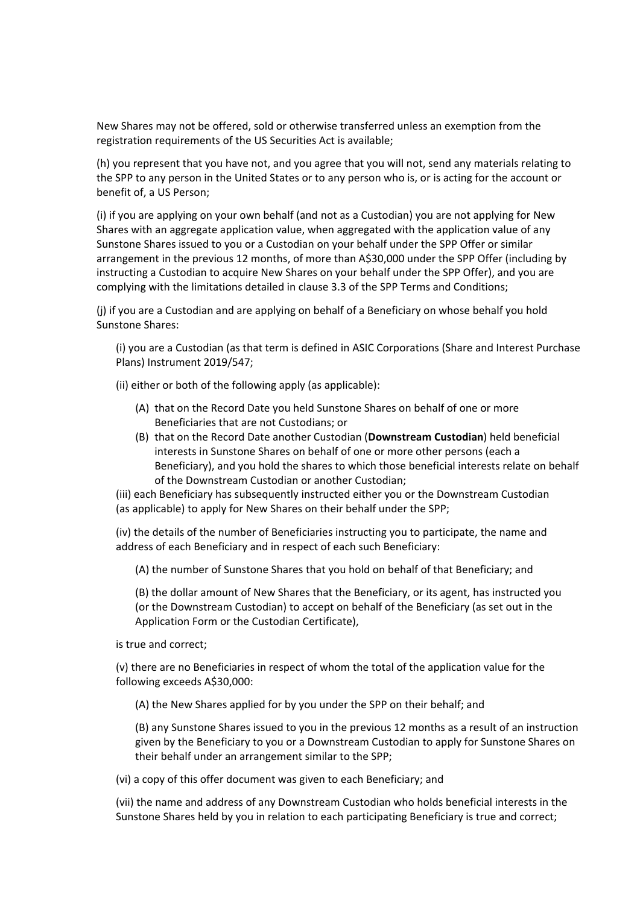New Shares may not be offered, sold or otherwise transferred unless an exemption from the registration requirements of the US Securities Act is available;

(h) you represent that you have not, and you agree that you will not, send any materials relating to the SPP to any person in the United States or to any person who is, or is acting for the account or benefit of, a US Person;

(i) if you are applying on your own behalf (and not as a Custodian) you are not applying for New Shares with an aggregate application value, when aggregated with the application value of any Sunstone Shares issued to you or a Custodian on your behalf under the SPP Offer or similar arrangement in the previous 12 months, of more than A\$30,000 under the SPP Offer (including by instructing a Custodian to acquire New Shares on your behalf under the SPP Offer), and you are complying with the limitations detailed in clause 3.3 of the SPP Terms and Conditions;

(j) if you are a Custodian and are applying on behalf of a Beneficiary on whose behalf you hold Sunstone Shares:

(i) you are a Custodian (as that term is defined in ASIC Corporations (Share and Interest Purchase Plans) Instrument 2019/547;

(ii) either or both of the following apply (as applicable):

- (A) that on the Record Date you held Sunstone Shares on behalf of one or more Beneficiaries that are not Custodians; or
- (B) that on the Record Date another Custodian (**Downstream Custodian**) held beneficial interests in Sunstone Shares on behalf of one or more other persons (each a Beneficiary), and you hold the shares to which those beneficial interests relate on behalf of the Downstream Custodian or another Custodian;

(iii) each Beneficiary has subsequently instructed either you or the Downstream Custodian (as applicable) to apply for New Shares on their behalf under the SPP;

(iv) the details of the number of Beneficiaries instructing you to participate, the name and address of each Beneficiary and in respect of each such Beneficiary:

(A) the number of Sunstone Shares that you hold on behalf of that Beneficiary; and

(B) the dollar amount of New Shares that the Beneficiary, or its agent, has instructed you (or the Downstream Custodian) to accept on behalf of the Beneficiary (as set out in the Application Form or the Custodian Certificate),

is true and correct;

(v) there are no Beneficiaries in respect of whom the total of the application value for the following exceeds A\$30,000:

(A) the New Shares applied for by you under the SPP on their behalf; and

(B) any Sunstone Shares issued to you in the previous 12 months as a result of an instruction given by the Beneficiary to you or a Downstream Custodian to apply for Sunstone Shares on their behalf under an arrangement similar to the SPP;

(vi) a copy of this offer document was given to each Beneficiary; and

(vii) the name and address of any Downstream Custodian who holds beneficial interests in the Sunstone Shares held by you in relation to each participating Beneficiary is true and correct;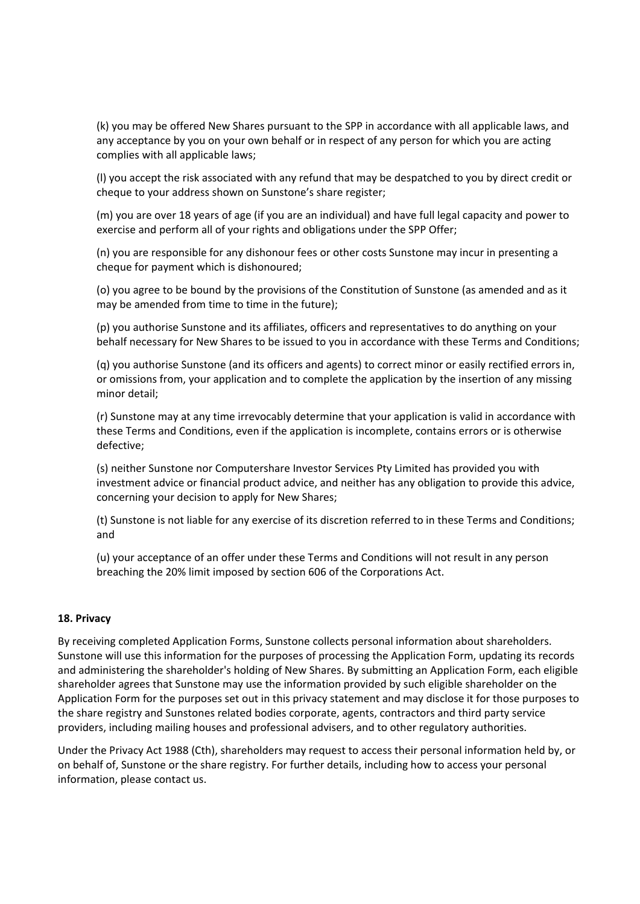(k) you may be offered New Shares pursuant to the SPP in accordance with all applicable laws, and any acceptance by you on your own behalf or in respect of any person for which you are acting complies with all applicable laws;

(l) you accept the risk associated with any refund that may be despatched to you by direct credit or cheque to your address shown on Sunstone's share register;

(m) you are over 18 years of age (if you are an individual) and have full legal capacity and power to exercise and perform all of your rights and obligations under the SPP Offer;

(n) you are responsible for any dishonour fees or other costs Sunstone may incur in presenting a cheque for payment which is dishonoured;

(o) you agree to be bound by the provisions of the Constitution of Sunstone (as amended and as it may be amended from time to time in the future);

(p) you authorise Sunstone and its affiliates, officers and representatives to do anything on your behalf necessary for New Shares to be issued to you in accordance with these Terms and Conditions;

(q) you authorise Sunstone (and its officers and agents) to correct minor or easily rectified errors in, or omissions from, your application and to complete the application by the insertion of any missing minor detail;

(r) Sunstone may at any time irrevocably determine that your application is valid in accordance with these Terms and Conditions, even if the application is incomplete, contains errors or is otherwise defective;

(s) neither Sunstone nor Computershare Investor Services Pty Limited has provided you with investment advice or financial product advice, and neither has any obligation to provide this advice, concerning your decision to apply for New Shares;

(t) Sunstone is not liable for any exercise of its discretion referred to in these Terms and Conditions; and

(u) your acceptance of an offer under these Terms and Conditions will not result in any person breaching the 20% limit imposed by section 606 of the Corporations Act.

# **18. Privacy**

By receiving completed Application Forms, Sunstone collects personal information about shareholders. Sunstone will use this information for the purposes of processing the Application Form, updating its records and administering the shareholder's holding of New Shares. By submitting an Application Form, each eligible shareholder agrees that Sunstone may use the information provided by such eligible shareholder on the Application Form for the purposes set out in this privacy statement and may disclose it for those purposes to the share registry and Sunstones related bodies corporate, agents, contractors and third party service providers, including mailing houses and professional advisers, and to other regulatory authorities.

Under the Privacy Act 1988 (Cth), shareholders may request to access their personal information held by, or on behalf of, Sunstone or the share registry. For further details, including how to access your personal information, please contact us.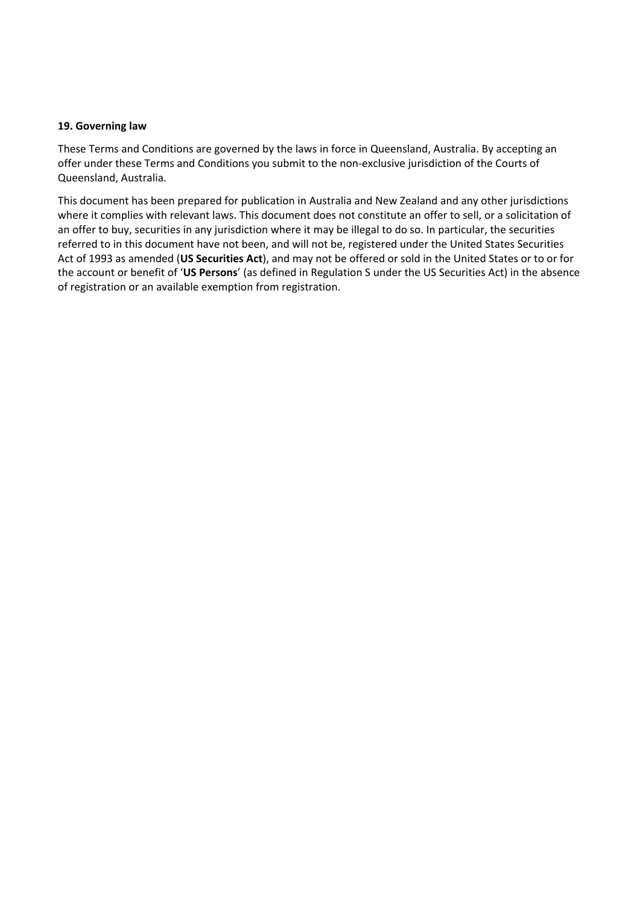### **19. Governing law**

These Terms and Conditions are governed by the laws in force in Queensland, Australia. By accepting an offer under these Terms and Conditions you submit to the non-exclusive jurisdiction of the Courts of Queensland, Australia.

This document has been prepared for publication in Australia and New Zealand and any other jurisdictions where it complies with relevant laws. This document does not constitute an offer to sell, or a solicitation of an offer to buy, securities in any jurisdiction where it may be illegal to do so. In particular, the securities referred to in this document have not been, and will not be, registered under the United States Securities Act of 1993 as amended (**US Securities Act**), and may not be offered or sold in the United States or to or for the account or benefit of '**US Persons**' (as defined in Regulation S under the US Securities Act) in the absence of registration or an available exemption from registration.